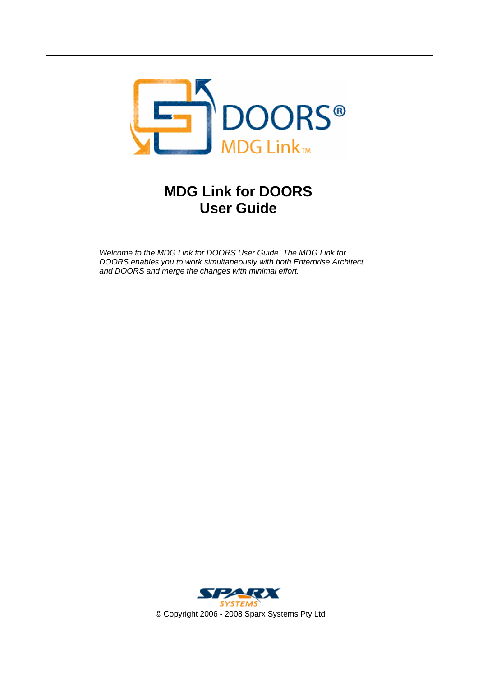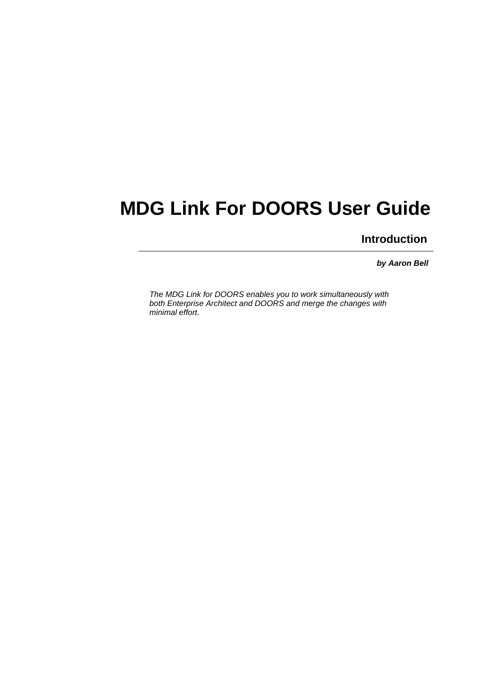## **MDG Link For DOORS User Guide**

**Introduction**

*by Aaron Bell*

*The MDG Link for DOORS enables you to work simultaneously with both Enterprise Architect and DOORS and merge the changes with minimal effort.*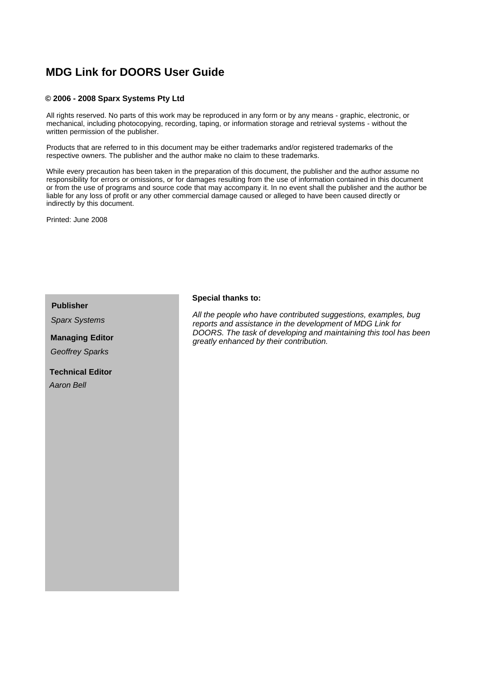### **MDG Link for DOORS User Guide**

#### **© 2006 - 2008 Sparx Systems Pty Ltd**

All rights reserved. No parts of this work may be reproduced in any form or by any means - graphic, electronic, or mechanical, including photocopying, recording, taping, or information storage and retrieval systems - without the written permission of the publisher.

Products that are referred to in this document may be either trademarks and/or registered trademarks of the respective owners. The publisher and the author make no claim to these trademarks.

While every precaution has been taken in the preparation of this document, the publisher and the author assume no responsibility for errors or omissions, or for damages resulting from the use of information contained in this document or from the use of programs and source code that may accompany it. In no event shall the publisher and the author be liable for any loss of profit or any other commercial damage caused or alleged to have been caused directly or indirectly by this document.

Printed: June 2008

*Sparx Systems*

## *Geoffrey Sparks*

**Technical Editor** *Aaron Bell*

### **Publisher Special thanks to:**

*All the people who have contributed suggestions, examples, bug reports and assistance in the development of MDG Link for DOORS. The task of developing and maintaining this tool has been greatly enhanced by their contribution.* **Managing Editor**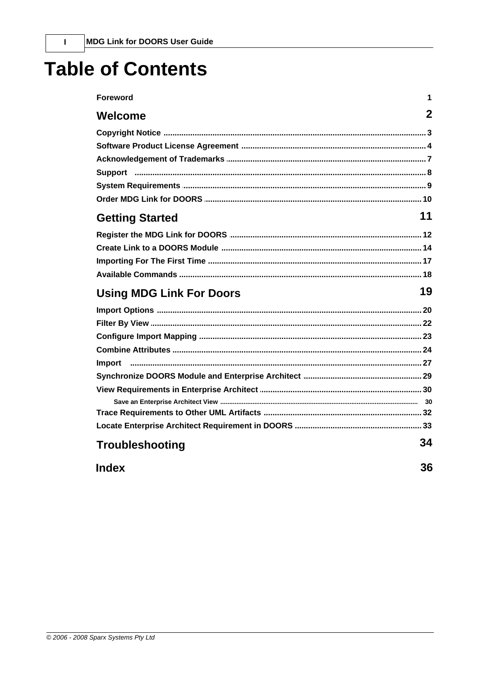## **Table of Contents**

| <b>Foreword</b>                 | 1           |
|---------------------------------|-------------|
| Welcome                         | $\mathbf 2$ |
|                                 |             |
|                                 |             |
|                                 |             |
|                                 |             |
|                                 |             |
|                                 |             |
| <b>Getting Started</b>          | 11          |
|                                 |             |
|                                 |             |
|                                 |             |
|                                 |             |
|                                 |             |
| <b>Using MDG Link For Doors</b> | 19          |
|                                 |             |
|                                 |             |
|                                 |             |
|                                 |             |
|                                 |             |
|                                 |             |
|                                 |             |
|                                 |             |
|                                 |             |
|                                 |             |
| <b>Troubleshooting</b>          | 34          |

 $\overline{1}$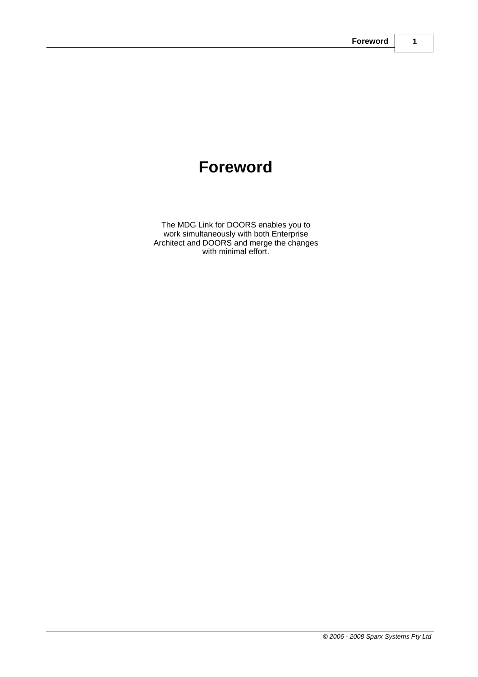## **Foreword**

The MDG Link for DOORS enables you to work simultaneously with both Enterprise Architect and DOORS and merge the changes with minimal effort.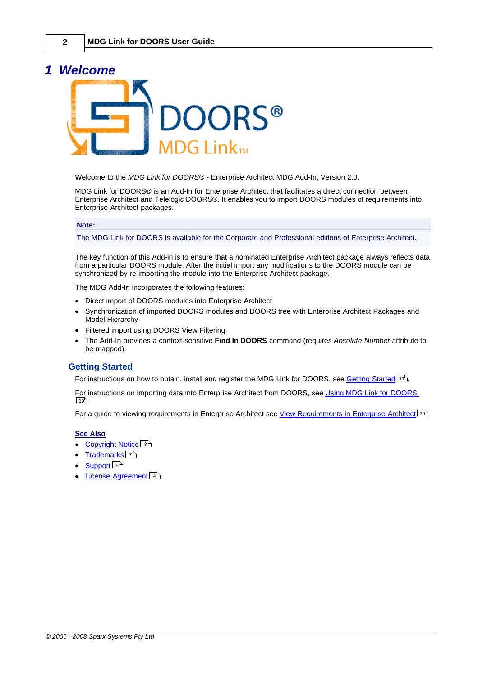### <span id="page-5-0"></span>*1 Welcome*



Welcome to the *MDG Link for DOORS®* - Enterprise Architect MDG Add-In, Version 2.0.

MDG Link for DOORS® is an Add-In for Enterprise Architect that facilitates a direct connection between Enterprise Architect and Telelogic DOORS®. It enables you to import DOORS modules of requirements into Enterprise Architect packages.

#### **Note:**

The MDG Link for DOORS is available for the Corporate and Professional editions of Enterprise Architect.

The key function of this Add-in is to ensure that a nominated Enterprise Architect package always reflects data from a particular DOORS module. After the initial import any modifications to the DOORS module can be synchronized by re-importing the module into the Enterprise Architect package.

The MDG Add-In incorporates the following features:

- · Direct import of DOORS modules into Enterprise Architect
- · Synchronization of imported DOORS modules and DOORS tree with Enterprise Architect Packages and Model Hierarchy
- · Filtered import using DOORS View Filtering
- · The Add-In provides a context-sensitive **Find In DOORS** command (requires *Absolute Number* attribute to be mapped).

#### **Getting Started**

For instructions on how to obtain, install and register the MDG Link for DOORS, see <u>Getting Started</u> ! 11 Am

For instructions on importing data into Enterprise Architect from DOORS, see [Using MDG Link for DOORS.](#page-22-0)  $\sqrt{19}$ 

For a guide to viewing requirements in Enterprise Architect see <u>View Requirements in Enterprise Architect</u> I 30 P

#### **See Also**

- · [Copyright Notice](#page-6-0) 3
- <u>[Trademarks](#page-10-0)</u>l <sup>ァ</sup>Ӭ
- · [Support](#page-11-0) 8
- <u>[License Agreement](#page-7-0)</u>l 4<sup>5</sup>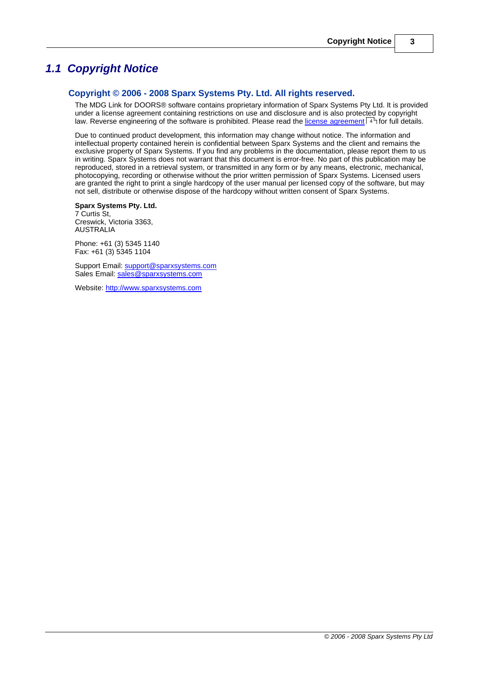### <span id="page-6-0"></span>*1.1 Copyright Notice*

#### **Copyright © 2006 - 2008 Sparx Systems Pty. Ltd. All rights reserved.**

The MDG Link for DOORS® software contains proprietary information of Sparx Systems Pty Ltd. It is provided under a license agreement containing restrictions on use and disclosure and is also protected by copyright law. Reverse engineering of the software is prohibited. Please read the <u>[license agreement](#page-7-0)</u> l4h for full details.

Due to continued product development, this information may change without notice. The information and intellectual property contained herein is confidential between Sparx Systems and the client and remains the exclusive property of Sparx Systems. If you find any problems in the documentation, please report them to us in writing. Sparx Systems does not warrant that this document is error-free. No part of this publication may be reproduced, stored in a retrieval system, or transmitted in any form or by any means, electronic, mechanical, photocopying, recording or otherwise without the prior written permission of Sparx Systems. Licensed users are granted the right to print a single hardcopy of the user manual per licensed copy of the software, but may not sell, distribute or otherwise dispose of the hardcopy without written consent of Sparx Systems.

**Sparx Systems Pty. Ltd.**

7 Curtis St, Creswick, Victoria 3363, AUSTRALIA

Phone: +61 (3) 5345 1140 Fax: +61 (3) 5345 1104

Support Email: [support@sparxsystems.com](mailto:support@sparxsystems.com) Sales Email: [sales@sparxsystems.com](mailto:sales@sparxsystems.com)

Website: <http://www.sparxsystems.com>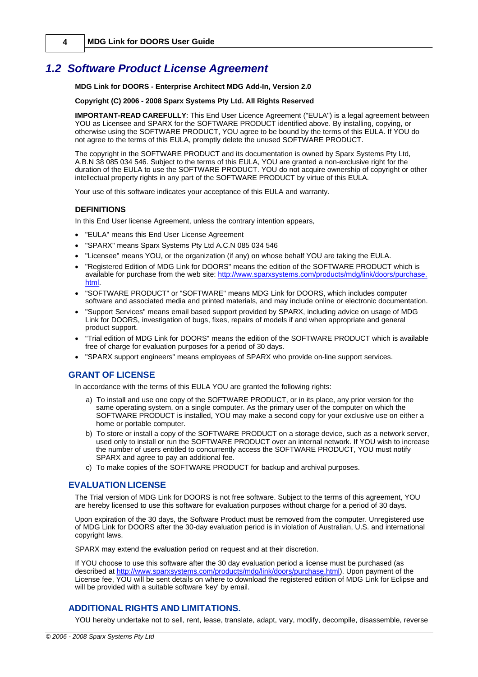**4 MDG Link for DOORS User Guide**

### <span id="page-7-0"></span>*1.2 Software Product License Agreement*

**MDG Link for DOORS - Enterprise Architect MDG Add-In, Version 2.0**

#### **Copyright (C) 2006 - 2008 Sparx Systems Pty Ltd. All Rights Reserved**

**IMPORTANT-READ CAREFULLY**: This End User Licence Agreement ("EULA") is a legal agreement between YOU as Licensee and SPARX for the SOFTWARE PRODUCT identified above. By installing, copying, or otherwise using the SOFTWARE PRODUCT, YOU agree to be bound by the terms of this EULA. If YOU do not agree to the terms of this EULA, promptly delete the unused SOFTWARE PRODUCT.

The copyright in the SOFTWARE PRODUCT and its documentation is owned by Sparx Systems Pty Ltd, A.B.N 38 085 034 546. Subject to the terms of this EULA, YOU are granted a non-exclusive right for the duration of the EULA to use the SOFTWARE PRODUCT. YOU do not acquire ownership of copyright or other intellectual property rights in any part of the SOFTWARE PRODUCT by virtue of this EULA.

Your use of this software indicates your acceptance of this EULA and warranty.

#### **DEFINITIONS**

In this End User license Agreement, unless the contrary intention appears,

- · "EULA" means this End User License Agreement
- · "SPARX" means Sparx Systems Pty Ltd A.C.N 085 034 546
- · "Licensee" means YOU, or the organization (if any) on whose behalf YOU are taking the EULA.
- · "Registered Edition of MDG Link for DOORS" means the edition of the SOFTWARE PRODUCT which is available for purchase from the web site: [http://www.sparxsystems.com/products/mdg/link/doors/purchase.](http://www.sparxsystems.com/products/mdg/link/doors/purchase.html) [html](http://www.sparxsystems.com/products/mdg/link/doors/purchase.html).
- · "SOFTWARE PRODUCT" or "SOFTWARE" means MDG Link for DOORS, which includes computer software and associated media and printed materials, and may include online or electronic documentation.
- · "Support Services" means email based support provided by SPARX, including advice on usage of MDG Link for DOORS, investigation of bugs, fixes, repairs of models if and when appropriate and general product support.
- · "Trial edition of MDG Link for DOORS" means the edition of the SOFTWARE PRODUCT which is available free of charge for evaluation purposes for a period of 30 days.
- · "SPARX support engineers" means employees of SPARX who provide on-line support services.

#### **GRANT OF LICENSE**

In accordance with the terms of this EULA YOU are granted the following rights:

- a) To install and use one copy of the SOFTWARE PRODUCT, or in its place, any prior version for the same operating system, on a single computer. As the primary user of the computer on which the SOFTWARE PRODUCT is installed, YOU may make a second copy for your exclusive use on either a home or portable computer.
- b) To store or install a copy of the SOFTWARE PRODUCT on a storage device, such as a network server, used only to install or run the SOFTWARE PRODUCT over an internal network. If YOU wish to increase the number of users entitled to concurrently access the SOFTWARE PRODUCT, YOU must notify SPARX and agree to pay an additional fee.
- c) To make copies of the SOFTWARE PRODUCT for backup and archival purposes.

#### **EVALUATION LICENSE**

The Trial version of MDG Link for DOORS is not free software. Subject to the terms of this agreement, YOU are hereby licensed to use this software for evaluation purposes without charge for a period of 30 days.

Upon expiration of the 30 days, the Software Product must be removed from the computer. Unregistered use of MDG Link for DOORS after the 30-day evaluation period is in violation of Australian, U.S. and international copyright laws.

SPARX may extend the evaluation period on request and at their discretion.

If YOU choose to use this software after the 30 day evaluation period a license must be purchased (as described at [http://www.sparxsystems.com/products/mdg/link/doors/purchase.html\)](http://www.sparxsystems.com/products/mdg/link/doors/purchase.html). Upon payment of the License fee, YOU will be sent details on where to download the registered edition of MDG Link for Eclipse and will be provided with a suitable software 'key' by email.

#### **ADDITIONAL RIGHTS AND LIMITATIONS.**

YOU hereby undertake not to sell, rent, lease, translate, adapt, vary, modify, decompile, disassemble, reverse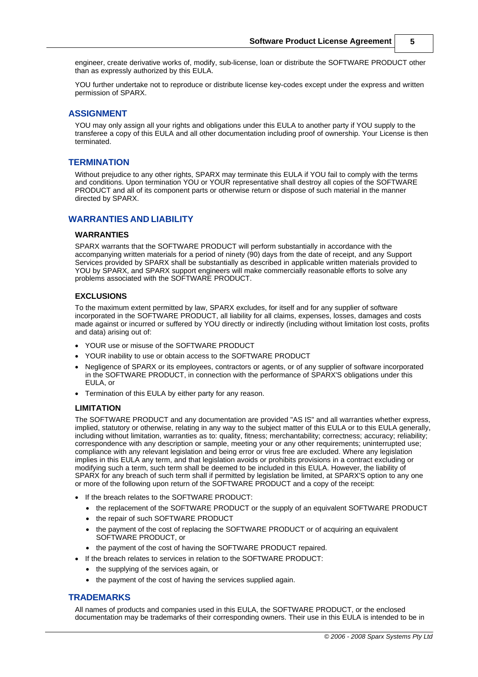engineer, create derivative works of, modify, sub-license, loan or distribute the SOFTWARE PRODUCT other than as expressly authorized by this EULA.

YOU further undertake not to reproduce or distribute license key-codes except under the express and written permission of SPARX.

#### **ASSIGNMENT**

YOU may only assign all your rights and obligations under this EULA to another party if YOU supply to the transferee a copy of this EULA and all other documentation including proof of ownership. Your License is then terminated.

#### **TERMINATION**

Without prejudice to any other rights, SPARX may terminate this EULA if YOU fail to comply with the terms and conditions. Upon termination YOU or YOUR representative shall destroy all copies of the SOFTWARE PRODUCT and all of its component parts or otherwise return or dispose of such material in the manner directed by SPARX.

#### **WARRANTIES AND LIABILITY**

#### **WARRANTIES**

SPARX warrants that the SOFTWARE PRODUCT will perform substantially in accordance with the accompanying written materials for a period of ninety (90) days from the date of receipt, and any Support Services provided by SPARX shall be substantially as described in applicable written materials provided to YOU by SPARX, and SPARX support engineers will make commercially reasonable efforts to solve any problems associated with the SOFTWARE PRODUCT.

#### **EXCLUSIONS**

To the maximum extent permitted by law, SPARX excludes, for itself and for any supplier of software incorporated in the SOFTWARE PRODUCT, all liability for all claims, expenses, losses, damages and costs made against or incurred or suffered by YOU directly or indirectly (including without limitation lost costs, profits and data) arising out of:

- · YOUR use or misuse of the SOFTWARE PRODUCT
- YOUR inability to use or obtain access to the SOFTWARE PRODUCT
- Negligence of SPARX or its employees, contractors or agents, or of any supplier of software incorporated in the SOFTWARE PRODUCT, in connection with the performance of SPARX'S obligations under this EULA, or
- · Termination of this EULA by either party for any reason.

#### **LIMITATION**

The SOFTWARE PRODUCT and any documentation are provided "AS IS" and all warranties whether express, implied, statutory or otherwise, relating in any way to the subject matter of this EULA or to this EULA generally, including without limitation, warranties as to: quality, fitness; merchantability; correctness; accuracy; reliability; correspondence with any description or sample, meeting your or any other requirements; uninterrupted use; compliance with any relevant legislation and being error or virus free are excluded. Where any legislation implies in this EULA any term, and that legislation avoids or prohibits provisions in a contract excluding or modifying such a term, such term shall be deemed to be included in this EULA. However, the liability of SPARX for any breach of such term shall if permitted by legislation be limited, at SPARX'S option to any one or more of the following upon return of the SOFTWARE PRODUCT and a copy of the receipt:

- If the breach relates to the SOFTWARE PRODUCT:
	- · the replacement of the SOFTWARE PRODUCT or the supply of an equivalent SOFTWARE PRODUCT
	- the repair of such SOFTWARE PRODUCT
	- the payment of the cost of replacing the SOFTWARE PRODUCT or of acquiring an equivalent SOFTWARE PRODUCT, or
	- · the payment of the cost of having the SOFTWARE PRODUCT repaired.
- If the breach relates to services in relation to the SOFTWARE PRODUCT:
	- · the supplying of the services again, or
	- the payment of the cost of having the services supplied again.

#### **TRADEMARKS**

All names of products and companies used in this EULA, the SOFTWARE PRODUCT, or the enclosed documentation may be trademarks of their corresponding owners. Their use in this EULA is intended to be in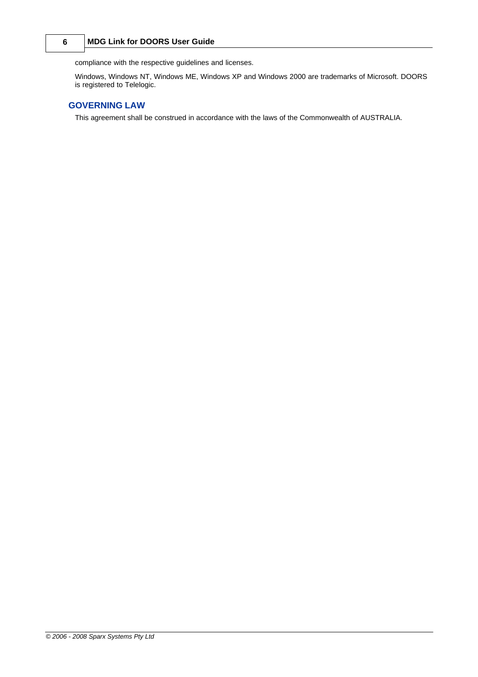#### **6 MDG Link for DOORS User Guide**

compliance with the respective guidelines and licenses.

Windows, Windows NT, Windows ME, Windows XP and Windows 2000 are trademarks of Microsoft. DOORS is registered to Telelogic.

#### **GOVERNING LAW**

This agreement shall be construed in accordance with the laws of the Commonwealth of AUSTRALIA.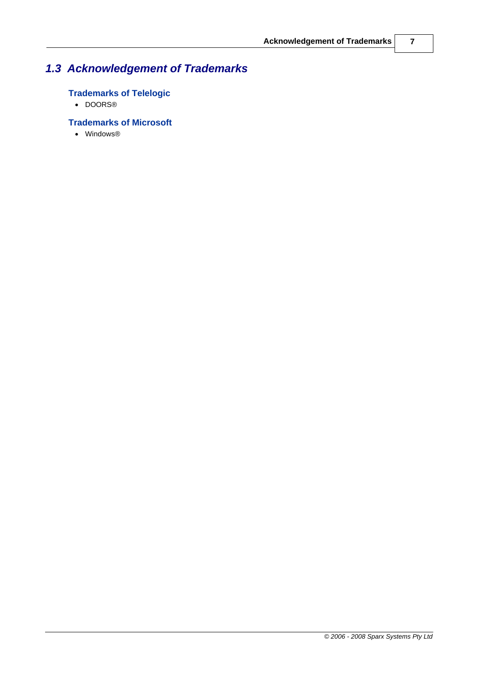## <span id="page-10-0"></span>*1.3 Acknowledgement of Trademarks*

### **Trademarks of Telelogic**

· DOORS®

### **Trademarks of Microsoft**

· Windows®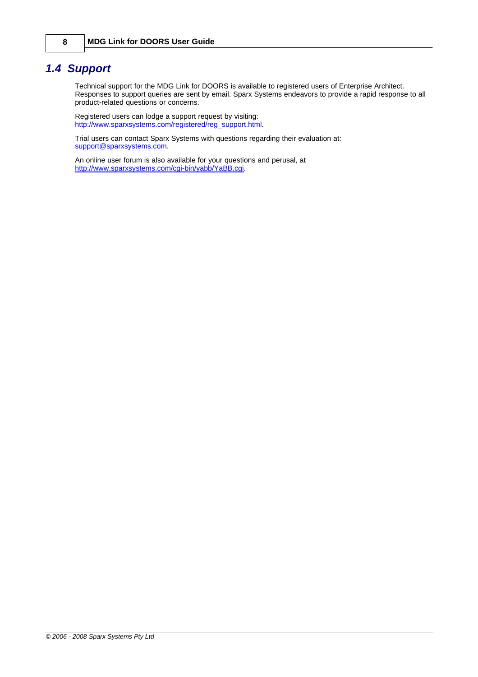### <span id="page-11-0"></span>*1.4 Support*

Technical support for the MDG Link for DOORS is available to registered users of Enterprise Architect. Responses to support queries are sent by email. Sparx Systems endeavors to provide a rapid response to all product-related questions or concerns.

Registered users can lodge a support request by visiting: [http://www.sparxsystems.com/registered/reg\\_support.html.](http://www.sparxsystems.com/registered/reg_support.html)

Trial users can contact Sparx Systems with questions regarding their evaluation at: [support@sparxsystems.com.](mailto:support@sparxsystems.com)

An online user forum is also available for your questions and perusal, at <http://www.sparxsystems.com/cgi-bin/yabb/YaBB.cgi>.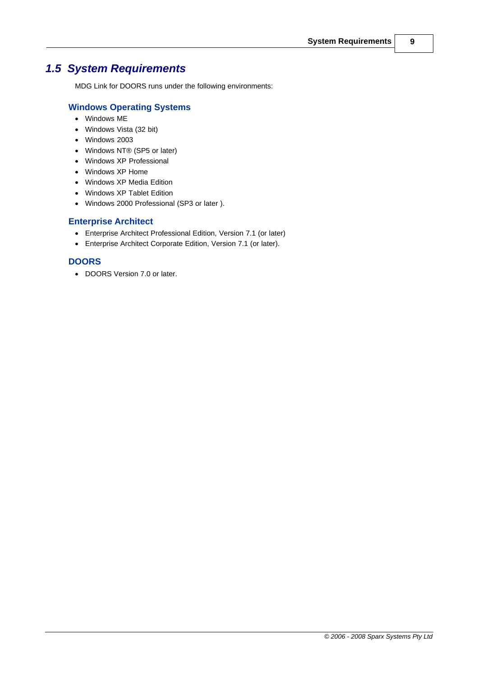## <span id="page-12-0"></span>*1.5 System Requirements*

MDG Link for DOORS runs under the following environments:

#### **Windows Operating Systems**

- · Windows ME
- · Windows Vista (32 bit)
- · Windows 2003
- · Windows NT® (SP5 or later)
- · Windows XP Professional
- · Windows XP Home
- · Windows XP Media Edition
- · Windows XP Tablet Edition
- · Windows 2000 Professional (SP3 or later ).

#### **Enterprise Architect**

- · Enterprise Architect Professional Edition, Version 7.1 (or later)
- · Enterprise Architect Corporate Edition, Version 7.1 (or later).

#### **DOORS**

· DOORS Version 7.0 or later.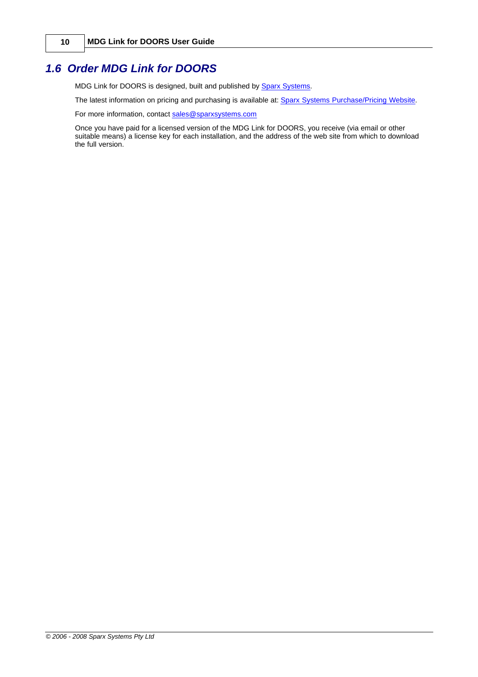### <span id="page-13-0"></span>*1.6 Order MDG Link for DOORS*

MDG Link for DOORS is designed, built and published by **[Sparx Systems](http://www.sparxsystems.com)**.

The latest information on pricing and purchasing is available at: [Sparx Systems Purchase/Pricing Website.](http://www.sparxsystems.com/ea_purchase.htm)

For more information, contact [sales@sparxsystems.com](mailto:sales@sparxsystems.com)

Once you have paid for a licensed version of the MDG Link for DOORS, you receive (via email or other suitable means) a license key for each installation, and the address of the web site from which to download the full version.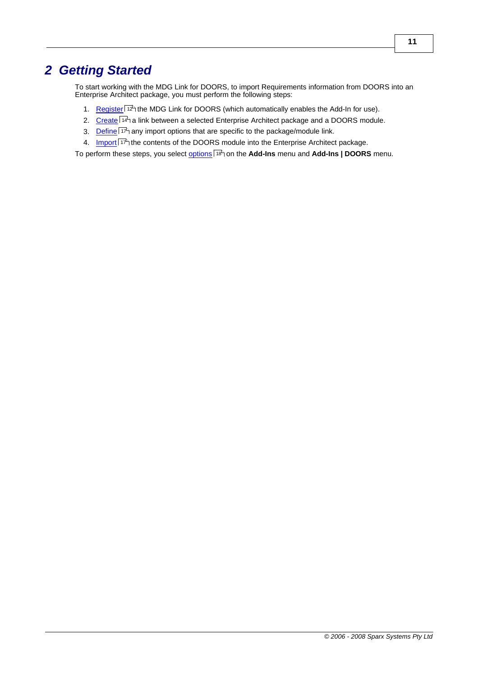## <span id="page-14-0"></span>*2 Getting Started*

To start working with the MDG Link for DOORS, to import Requirements information from DOORS into an Enterprise Architect package, you must perform the following steps:

- 1. [Register](#page-15-0) <sup>| 12</sup> the MDG Link for DOORS (which automatically enables the Add-In for use).
- 2. [Create](#page-17-0)l <sup>14</sup> a link between a selected Enterprise Architect package and a DOORS module.
- 3. [Define](#page-20-0) <sup>| 17</sup> any import options that are specific to the package/module link.
- 4. [Import](#page-20-0)L<sup>I17</sup> the contents of the DOORS module into the Enterprise Architect package.

To perform these steps, you select <u>[options](#page-21-0)</u>l 18 non the **Add-Ins** menu and **Add-Ins | DOORS** menu.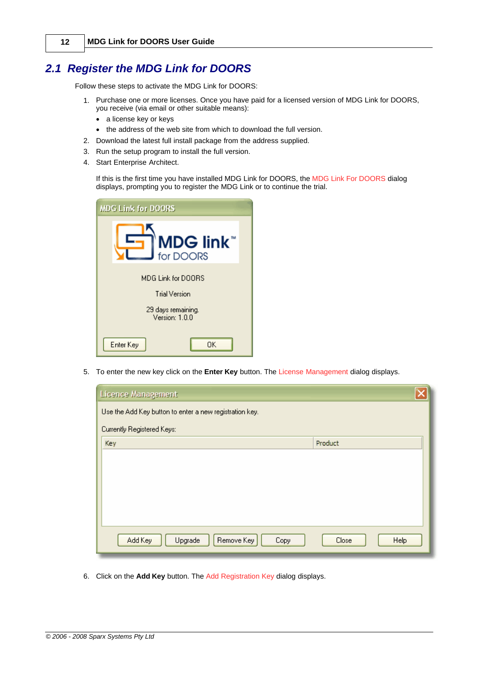### <span id="page-15-0"></span>*2.1 Register the MDG Link for DOORS*

Follow these steps to activate the MDG Link for DOORS:

- 1. Purchase one or more licenses. Once you have paid for a licensed version of MDG Link for DOORS, you receive (via email or other suitable means):
	- a license key or keys
	- · the address of the web site from which to download the full version.
- 2. Download the latest full install package from the address supplied.
- 3. Run the setup program to install the full version.
- 4. Start Enterprise Architect.

If this is the first time you have installed MDG Link for DOORS, the MDG Link For DOORS dialog displays, prompting you to register the MDG Link or to continue the trial.

| <b>MDG Link for DOORS</b>            |  |
|--------------------------------------|--|
| <b>MDG link</b><br>for DOORS         |  |
| MDG Link for DOORS<br>Trial Version  |  |
| 29 days remaining.<br>Version: 1.0.0 |  |
| Enter Key<br>OΚ                      |  |

5. To enter the new key click on the **Enter Key** button. The License Management dialog displays.

| Licence Management                                      |               |
|---------------------------------------------------------|---------------|
| Use the Add Key button to enter a new registration key. |               |
| Currently Registered Keys:                              |               |
| Key                                                     | Product       |
|                                                         |               |
|                                                         |               |
|                                                         |               |
|                                                         |               |
|                                                         |               |
| Add Key<br>Remove Key<br>Upgrade<br>Copy                | Close<br>Help |

6. Click on the **Add Key** button. The Add Registration Key dialog displays.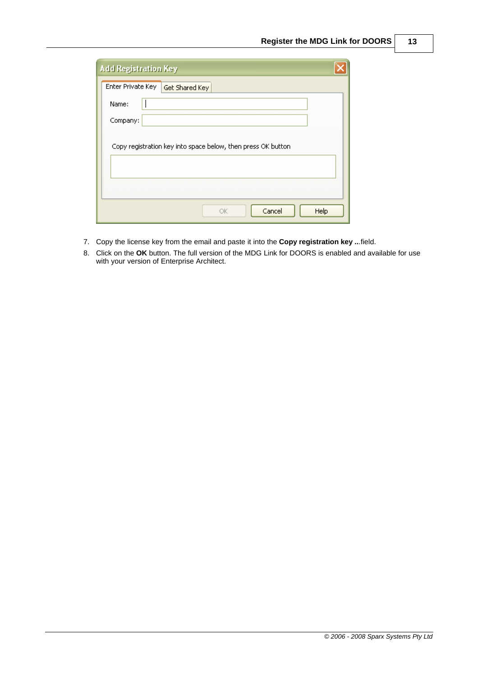| <b>Add Registration Key</b>                                  |      |
|--------------------------------------------------------------|------|
| Enter Private Key<br>Get Shared Key                          |      |
| Name:                                                        |      |
| Company:                                                     |      |
|                                                              |      |
| Copy registration key into space below, then press OK button |      |
|                                                              |      |
|                                                              |      |
| Cancel<br>OK                                                 | Help |

- 7. Copy the license key from the email and paste it into the **Copy registration key ..**.field.
- 8. Click on the **OK** button. The full version of the MDG Link for DOORS is enabled and available for use with your version of Enterprise Architect.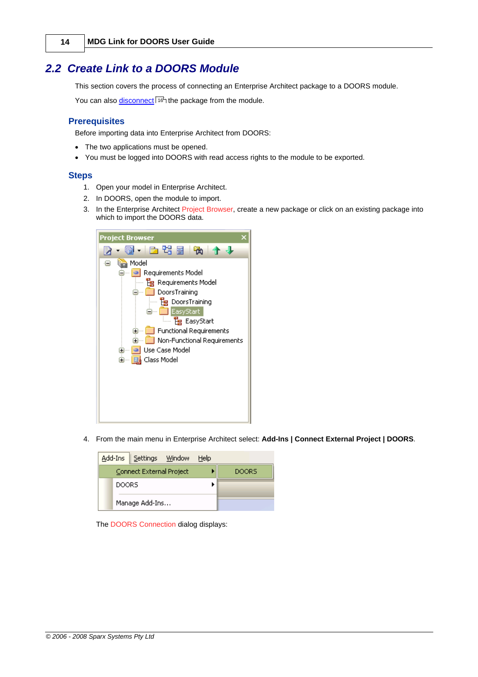### <span id="page-17-0"></span>*2.2 Create Link to a DOORS Module*

This section covers the process of connecting an Enterprise Architect package to a DOORS module.

You can also <u>disconnect</u>l 16 the package from the module.

#### **Prerequisites**

Before importing data into Enterprise Architect from DOORS:

- · The two applications must be opened.
- · You must be logged into DOORS with read access rights to the module to be exported.

#### **Steps**

- 1. Open your model in Enterprise Architect.
- 2. In DOORS, open the module to import.
- 3. In the Enterprise Architect Project Browser, create a new package or click on an existing package into which to import the DOORS data.



4. From the main menu in Enterprise Architect select: **Add-Ins | Connect External Project | DOORS**.

|              | Add-Ins Settings Window  | Help         |  |
|--------------|--------------------------|--------------|--|
|              | Connect External Project | <b>DOORS</b> |  |
| <b>DOORS</b> |                          |              |  |
|              | Manage Add-Ins           |              |  |

The DOORS Connection dialog displays: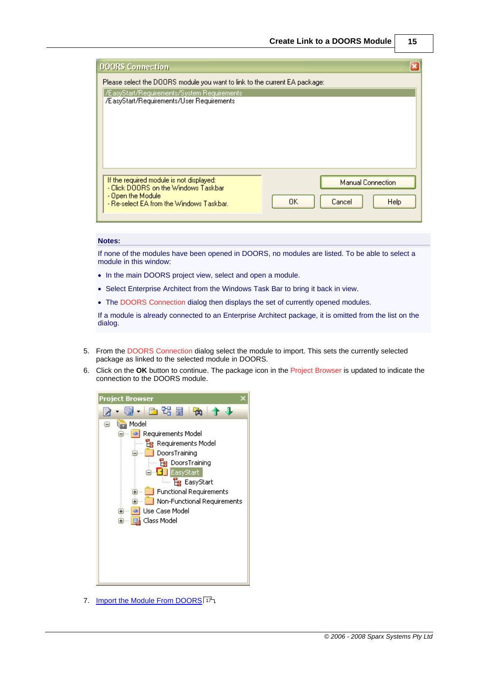| <b>DOORS Connection</b>                                                                                                                                                  |                                                  |
|--------------------------------------------------------------------------------------------------------------------------------------------------------------------------|--------------------------------------------------|
| Please select the DOORS module you want to link to the current EA package:<br>ZEasyStart/Requirements/System Requirements  <br>/EasyStart/Requirements/User Requirements |                                                  |
| If the required module is not displayed:<br>- Click DOORS on the Windows Taskbar<br>- Open the Module<br>- Re-select EA from the Windows Taskbar.                        | <b>Manual Connection</b><br>0K<br>Help<br>Cancel |

#### **Notes:**

If none of the modules have been opened in DOORS, no modules are listed. To be able to select a module in this window:

- · In the main DOORS project view, select and open a module.
- · Select Enterprise Architect from the Windows Task Bar to bring it back in view.
- The DOORS Connection dialog then displays the set of currently opened modules.

If a module is already connected to an Enterprise Architect package, it is omitted from the list on the dialog.

- 5. From the DOORS Connection dialog select the module to import. This sets the currently selected package as linked to the selected module in DOORS.
- 6. Click on the **OK** button to continue. The package icon in the Project Browser is updated to indicate the connection to the DOORS module.



7. [Import the Module From DOORS](#page-20-0) 17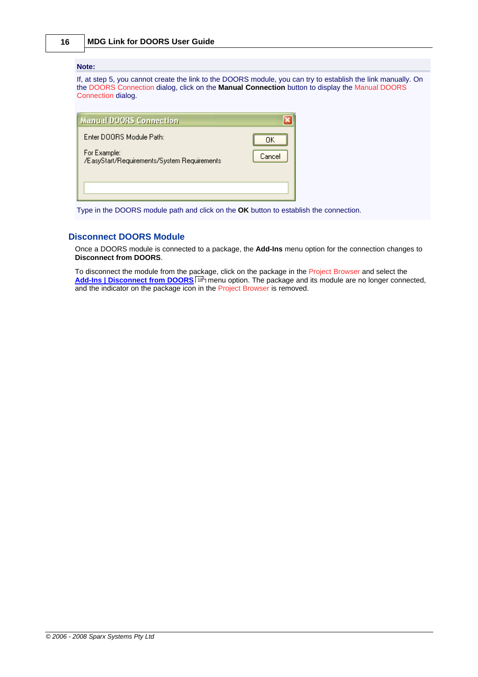#### **Note:**

If, at step 5, you cannot create the link to the DOORS module, you can try to establish the link manually. On the DOORS Connection dialog, click on the **Manual Connection** button to display the Manual DOORS Connection dialog.

| <b>Manual DOORS Connection</b>                              |        |
|-------------------------------------------------------------|--------|
| Enter DOOBS Module Path:                                    |        |
| For Example:<br>/EasyStart/Requirements/System Requirements | Cancel |
|                                                             |        |

Type in the DOORS module path and click on the **OK** button to establish the connection.

#### **Disconnect DOORS Module**

<span id="page-19-0"></span>Once a DOORS module is connected to a package, the **Add-Ins** menu option for the connection changes to

To disconnect the module from the package, click on the package in the Project Browser and select the [Add-Ins | Disconnect from DOORS](#page-21-0)<sup>[18]</sup> menu option. The package and its module are no longer connected, and the indicator on the package icon in the Project Browser is removed.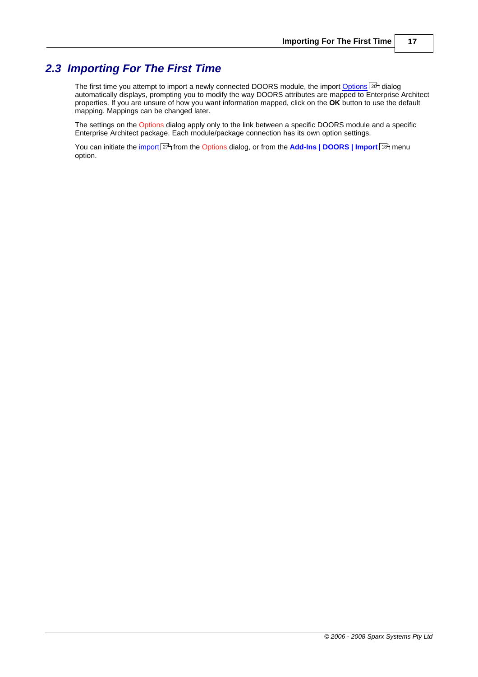### <span id="page-20-0"></span>*2.3 Importing For The First Time*

The first time you attempt to import a newly connected DOORS module, the import <u>Options</u> and dialog automatically displays, prompting you to modify the way DOORS attributes are mapped to Enterprise Architect properties. If you are unsure of how you want information mapped, click on the **OK** button to use the default mapping. Mappings can be changed later. 20 dialo

The settings on the Options dialog apply only to the link between a specific DOORS module and a specific Enterprise Architect package. Each module/package connection has its own option settings.

You can initiate the <u>[import](#page-30-0)</u>|27े] from the Options dialog, or from the <mark>[Add-Ins | DOORS | Import](#page-21-0)</mark> | 18<sup>5</sup>] menu option.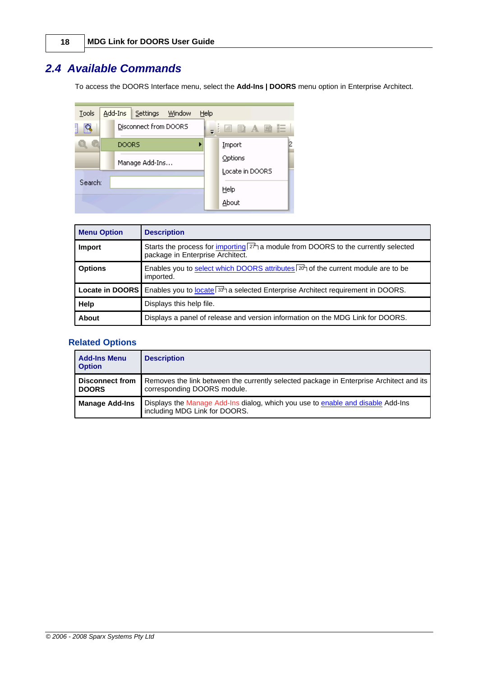### <span id="page-21-0"></span>*2.4 Available Commands*

To access the DOORS Interface menu, select the **Add-Ins | DOORS** menu option in Enterprise Architect.



| <b>Menu Option</b> | <b>Description</b>                                                                                                            |  |
|--------------------|-------------------------------------------------------------------------------------------------------------------------------|--|
| Import             | Starts the process for importing $2\lambda$ a module from DOORS to the currently selected<br>package in Enterprise Architect. |  |
| <b>Options</b>     | Enables you to select which DOORS attributes $20^3$ of the current module are to be<br>imported.                              |  |
|                    | Locate in DOORS Enables you to locate 33 <sup>4</sup> a selected Enterprise Architect requirement in DOORS.                   |  |
| Help               | Displays this help file.                                                                                                      |  |
| About              | Displays a panel of release and version information on the MDG Link for DOORS.                                                |  |

#### **Related Options**

| <b>Add-Ins Menu</b><br><b>Option</b>   | <b>Description</b>                                                                                                     |
|----------------------------------------|------------------------------------------------------------------------------------------------------------------------|
| <b>Disconnect from</b><br><b>DOORS</b> | Removes the link between the currently selected package in Enterprise Architect and its<br>corresponding DOORS module. |
| <b>Manage Add-Ins</b>                  | Displays the Manage Add-Ins dialog, which you use to enable and disable Add-Ins<br>including MDG Link for DOORS.       |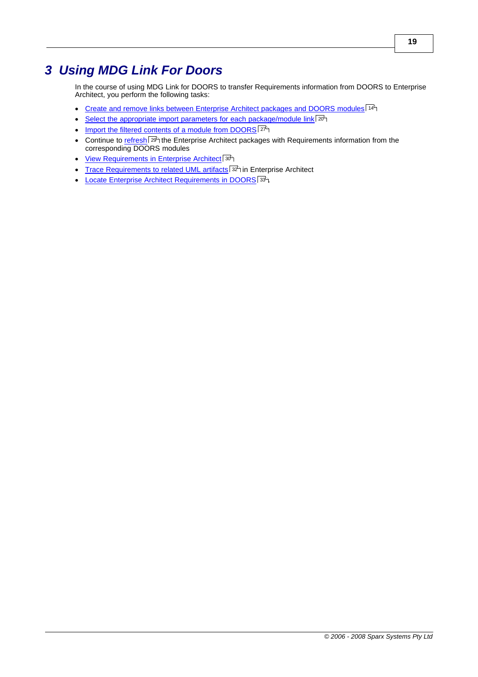## <span id="page-22-0"></span>*3 Using MDG Link For Doors*

In the course of using MDG Link for DOORS to transfer Requirements information from DOORS to Enterprise Architect, you perform the following tasks:

- [Create and remove links between Enterprise Architect packages and DOORS modules](#page-17-0) 14<sup>4</sup>
- [Select the appropriate import parameters for each package/module link](#page-23-0) $|20\rangle$
- [Import the filtered contents of a module from DOORS](#page-30-0) 27
- Continue to [refresh](#page-32-0) 29 the Enterprise Architect packages with Requirements information from the corresponding DOORS modules
- · [View Requirements in Enterprise Architect](#page-33-0) 30
- [Trace Requirements to related UML artifacts](#page-35-0)<sup>| 32</sup> in Enterprise Architect
- [Locate Enterprise Architect Requirements in DOORS](#page-36-0) 33<sup>4</sup>.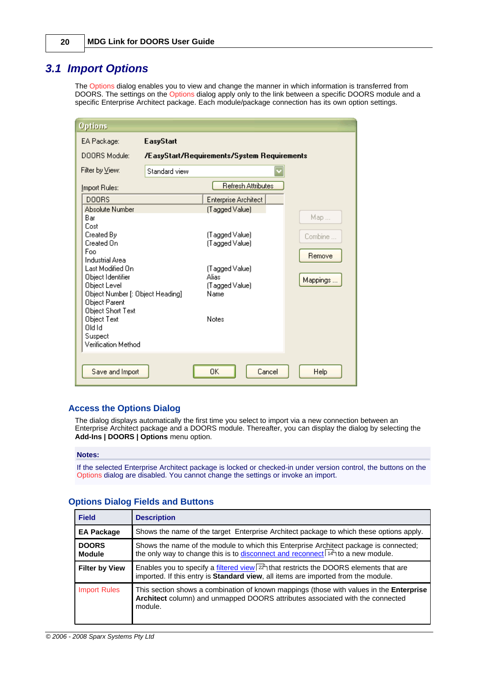### <span id="page-23-0"></span>*3.1 Import Options*

The Options dialog enables you to view and change the manner in which information is transferred from DOORS. The settings on the Options dialog apply only to the link between a specific DOORS module and a specific Enterprise Architect package. Each module/package connection has its own option settings.

| Options                                          |                  |                                             |          |
|--------------------------------------------------|------------------|---------------------------------------------|----------|
| EA Package:                                      | <b>EasyStart</b> |                                             |          |
| DOORS Module:                                    |                  | /EasyStart/Requirements/System Requirements |          |
| Filter by View:                                  | Standard view    |                                             |          |
| Import Rules:                                    |                  | <b>Refresh Attributes</b>                   |          |
| <b>DOORS</b>                                     |                  | Enterprise Architect                        |          |
| <b>Absolute Number</b>                           |                  | (Tagged Value)                              |          |
| Bar<br>Cost                                      |                  |                                             | Map      |
| Created By<br>Created On                         |                  | (Tagged Value)<br>(Tagged Value)            | Combine  |
| Foo<br>Industrial Area                           |                  |                                             | Remove   |
| Last Modified On                                 |                  | (Tagged Value)                              |          |
| Object Identifier                                |                  | Alias                                       | Mappings |
| Object Level<br>Object Number [: Object Heading] |                  | (Tagged Value)<br>Name                      |          |
| Object Parent                                    |                  |                                             |          |
| Object Short Text<br>Object Text                 |                  | Notes                                       |          |
| <b>Did id</b>                                    |                  |                                             |          |
| Suspect<br>Verification Method                   |                  |                                             |          |
|                                                  |                  |                                             |          |
| Save and Import                                  |                  | OK<br>Cancel                                | Help     |

#### **Access the Options Dialog**

The dialog displays automatically the first time you select to import via a new connection between an Enterprise Architect package and a DOORS module. Thereafter, you can display the dialog by selecting the **Add-Ins | DOORS | Options** menu option.

#### **Notes:**

If the selected Enterprise Architect package is locked or checked-in under version control, the buttons on the Options dialog are disabled. You cannot change the settings or invoke an import.

| <b>Field</b>                  | <b>Description</b>                                                                                                                                                                            |
|-------------------------------|-----------------------------------------------------------------------------------------------------------------------------------------------------------------------------------------------|
| <b>EA Package</b>             | Shows the name of the target Enterprise Architect package to which these options apply.                                                                                                       |
| <b>DOORS</b><br><b>Module</b> | Shows the name of the module to which this Enterprise Architect package is connected;<br>the only way to change this is to disconnect and reconnect $14^{\circ}$ to a new module.             |
| <b>Filter by View</b>         | Enables you to specify a filtered view $ z^{\hat{}} $ that restricts the DOORS elements that are<br>imported. If this entry is <b>Standard view</b> , all items are imported from the module. |
| <b>Import Rules</b>           | This section shows a combination of known mappings (those with values in the <b>Enterprise</b><br>Architect column) and unmapped DOORS attributes associated with the connected<br>module.    |

#### **Options Dialog Fields and Buttons**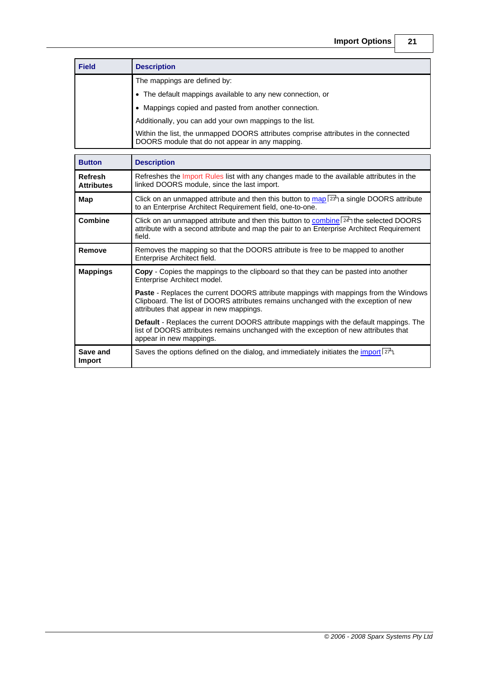| <b>Field</b> | <b>Description</b>                                                                                                                     |
|--------------|----------------------------------------------------------------------------------------------------------------------------------------|
|              | The mappings are defined by:                                                                                                           |
|              | • The default mappings available to any new connection, or                                                                             |
|              | • Mappings copied and pasted from another connection.                                                                                  |
|              | Additionally, you can add your own mappings to the list.                                                                               |
|              | Within the list, the unmapped DOORS attributes comprise attributes in the connected<br>DOORS module that do not appear in any mapping. |

| <b>Button</b>                       | <b>Description</b>                                                                                                                                                                                                            |  |  |  |
|-------------------------------------|-------------------------------------------------------------------------------------------------------------------------------------------------------------------------------------------------------------------------------|--|--|--|
| <b>Refresh</b><br><b>Attributes</b> | Refreshes the Import Rules list with any changes made to the available attributes in the<br>linked DOORS module, since the last import.                                                                                       |  |  |  |
| Map                                 | Click on an unmapped attribute and then this button to map $ 2^{3}$ a single DOORS attribute<br>to an Enterprise Architect Requirement field, one-to-one.                                                                     |  |  |  |
| <b>Combine</b>                      | Click on an unmapped attribute and then this button to combine $24^h$ the selected DOORS<br>attribute with a second attribute and map the pair to an Enterprise Architect Requirement<br>field.                               |  |  |  |
| Remove                              | Removes the mapping so that the DOORS attribute is free to be mapped to another<br>Enterprise Architect field.                                                                                                                |  |  |  |
| <b>Mappings</b>                     | <b>Copy</b> - Copies the mappings to the clipboard so that they can be pasted into another<br>Enterprise Architect model.                                                                                                     |  |  |  |
|                                     | <b>Paste -</b> Replaces the current DOORS attribute mappings with mappings from the Windows<br>Clipboard. The list of DOORS attributes remains unchanged with the exception of new<br>attributes that appear in new mappings. |  |  |  |
|                                     | <b>Default</b> - Replaces the current DOORS attribute mappings with the default mappings. The<br>list of DOORS attributes remains unchanged with the exception of new attributes that<br>appear in new mappings.              |  |  |  |
| Save and<br>Import                  | Saves the options defined on the dialog, and immediately initiates the import $ z^2 $ .                                                                                                                                       |  |  |  |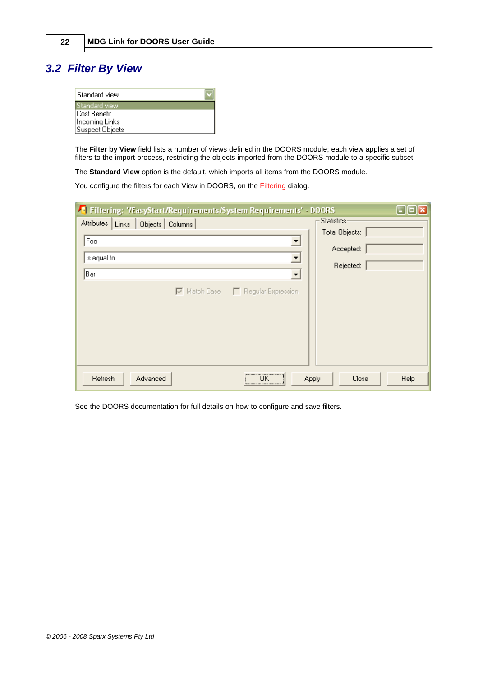## <span id="page-25-0"></span>*3.2 Filter By View*

| Standard view          |  |
|------------------------|--|
| Standard view          |  |
| Cost Benefit           |  |
| <b>Incoming Links</b>  |  |
| <b>Suspect Objects</b> |  |

The **Filter by View** field lists a number of views defined in the DOORS module; each view applies a set of filters to the import process, restricting the objects imported from the DOORS module to a specific subset.

The **Standard View** option is the default, which imports all items from the DOORS module.

You configure the filters for each View in DOORS, on the Filtering dialog.

| <sup>1</sup> Filtering: '/EasyStart/Requirements/System Requirements' - DOORS |                         | $\Box$ olx |
|-------------------------------------------------------------------------------|-------------------------|------------|
| Attributes   Links  <br>Objects   Columns                                     | Statistics <sup>®</sup> |            |
|                                                                               | Total Objects:          |            |
| Foo<br>$\blacktriangledown$                                                   | Accepted:               |            |
| is equal to<br>$\blacktriangledown$                                           |                         |            |
| Bar                                                                           | Rejected:               |            |
| $\blacktriangledown$                                                          |                         |            |
| $\nabla$ Match Case $\nabla$ Regular Expression                               |                         |            |
|                                                                               |                         |            |
|                                                                               |                         |            |
|                                                                               |                         |            |
|                                                                               |                         |            |
|                                                                               |                         |            |
|                                                                               |                         |            |
| <br>Refresh<br>Advanced<br>ΠK                                                 | Close<br>Apply          | Help       |
| <u> ^</u>                                                                     |                         |            |

See the DOORS documentation for full details on how to configure and save filters.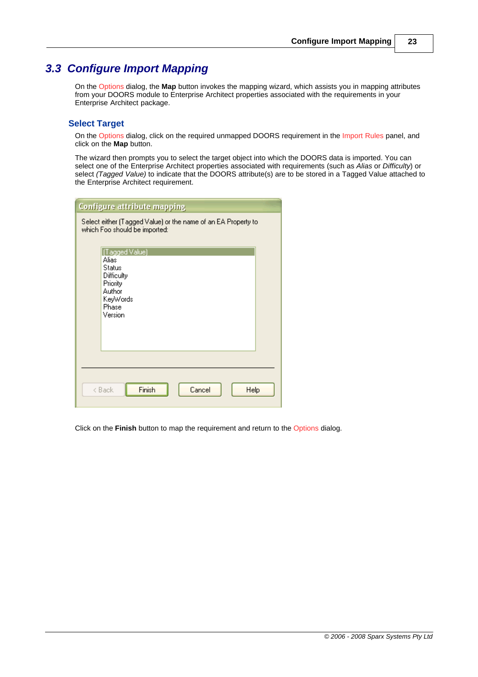### <span id="page-26-0"></span>*3.3 Configure Import Mapping*

On the Options dialog, the **Map** button invokes the mapping wizard, which assists you in mapping attributes from your DOORS module to Enterprise Architect properties associated with the requirements in your Enterprise Architect package.

#### **Select Target**

On the Options dialog, click on the required unmapped DOORS requirement in the Import Rules panel, and click on the **Map** button.

The wizard then prompts you to select the target object into which the DOORS data is imported. You can select one of the Enterprise Architect properties associated with requirements (such as *Alias* or *Difficulty*) or select *(Tagged Value)* to indicate that the DOORS attribute(s) are to be stored in a Tagged Value attached to the Enterprise Architect requirement.

| <b>Configure attribute mapping</b>                                                                    |  |  |
|-------------------------------------------------------------------------------------------------------|--|--|
| Select either (Tagged Value) or the name of an EA Property to<br>which Foo should be imported:        |  |  |
| [Tagged Value]<br>Alias<br>Status<br>Difficulty<br>Priority<br>Author<br>KeyWords<br>Phase<br>Version |  |  |
| Finish<br>Cancel<br>Help<br>< Back                                                                    |  |  |

Click on the **Finish** button to map the requirement and return to the Options dialog.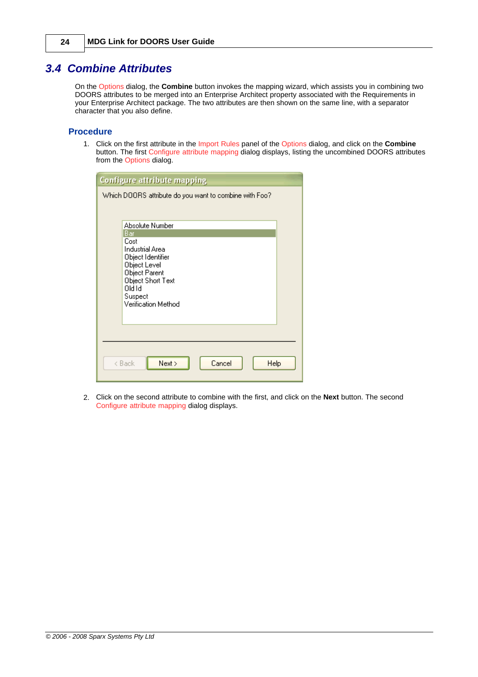### <span id="page-27-0"></span>*3.4 Combine Attributes*

On the Options dialog, the **Combine** button invokes the mapping wizard, which assists you in combining two DOORS attributes to be merged into an Enterprise Architect property associated with the Requirements in your Enterprise Architect package. The two attributes are then shown on the same line, with a separator character that you also define.

#### **Procedure**

1. Click on the first attribute in the Import Rules panel of the Options dialog, and click on the **Combine** button. The first Configure attribute mapping dialog displays, listing the uncombined DOORS attributes from the Options dialog.

| <b>Configure attribute mapping</b>                     |                               |  |  |
|--------------------------------------------------------|-------------------------------|--|--|
| Which DOORS attribute do you want to combine with Foo? |                               |  |  |
|                                                        |                               |  |  |
|                                                        | Absolute Number               |  |  |
|                                                        | Bar<br>Cost                   |  |  |
|                                                        | Industrial Area               |  |  |
|                                                        | Object Identifier             |  |  |
|                                                        | Object Level<br>Object Parent |  |  |
|                                                        | Object Short Text<br>old Id   |  |  |
|                                                        | Suspect                       |  |  |
| Verification Method                                    |                               |  |  |
|                                                        |                               |  |  |
|                                                        |                               |  |  |
|                                                        |                               |  |  |
|                                                        |                               |  |  |
| Next ><br>Cancel<br>Help<br>< Back                     |                               |  |  |
|                                                        |                               |  |  |

2. Click on the second attribute to combine with the first, and click on the **Next** button. The second Configure attribute mapping dialog displays.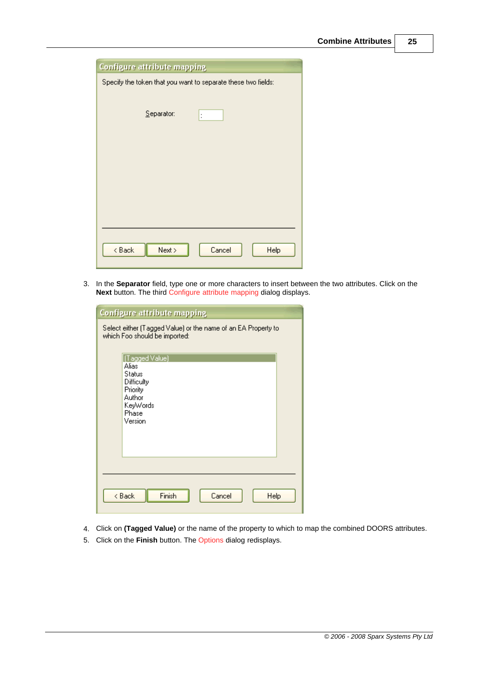| <b>Configure attribute mapping</b>                            |                      |  |
|---------------------------------------------------------------|----------------------|--|
| Specify the token that you want to separate these two fields: |                      |  |
| Separator:                                                    | $\ddot{\phantom{a}}$ |  |
|                                                               |                      |  |
|                                                               |                      |  |
|                                                               |                      |  |
|                                                               |                      |  |
| < Back<br>Next >                                              | Cancel<br>Help       |  |

3. In the **Separator** field, type one or more characters to insert between the two attributes. Click on the **Next** button. The third Configure attribute mapping dialog displays.

| <b>Configure attribute mapping</b>                                                                    |  |  |
|-------------------------------------------------------------------------------------------------------|--|--|
| Select either (Tagged Value) or the name of an EA Property to<br>which Foo should be imported:        |  |  |
| [Tagged Value]<br>Alias<br>Status<br>Difficulty<br>Priority<br>Author<br>KeyWords<br>Phase<br>Version |  |  |
| Finish<br>< Back<br>Cancel                                                                            |  |  |
| Help                                                                                                  |  |  |

- 4. Click on **(Tagged Value)** or the name of the property to which to map the combined DOORS attributes.
- 5. Click on the **Finish** button. The Options dialog redisplays.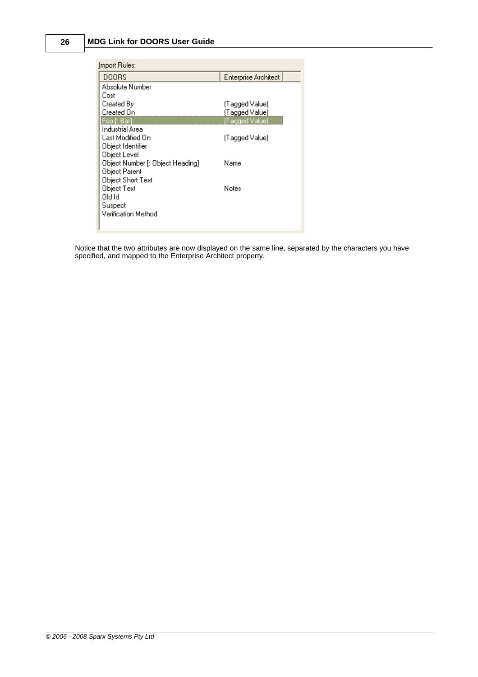#### **26 MDG Link for DOORS User Guide**

| Import Rules:                    |                             |  |  |
|----------------------------------|-----------------------------|--|--|
| DOORS                            | <b>Enterprise Architect</b> |  |  |
| Absolute Number                  |                             |  |  |
| Cost                             |                             |  |  |
| Created By                       | (Tagged Value)              |  |  |
| Created On                       | (Tagged Value)              |  |  |
| Foo [: Barl                      | (Tagged Value)              |  |  |
| Industrial Area                  |                             |  |  |
| Last Modified On                 | (Tagged Value)              |  |  |
| Object Identifier                |                             |  |  |
| Object Level                     |                             |  |  |
| Object Number [: Object Heading] | Name                        |  |  |
| Object Parent                    |                             |  |  |
| Object Short Text                |                             |  |  |
| Object Text                      | Notes                       |  |  |
| old Id                           |                             |  |  |
| Suspect                          |                             |  |  |
| Verification Method              |                             |  |  |
|                                  |                             |  |  |
|                                  |                             |  |  |

Notice that the two attributes are now displayed on the same line, separated by the characters you have specified, and mapped to the Enterprise Architect property.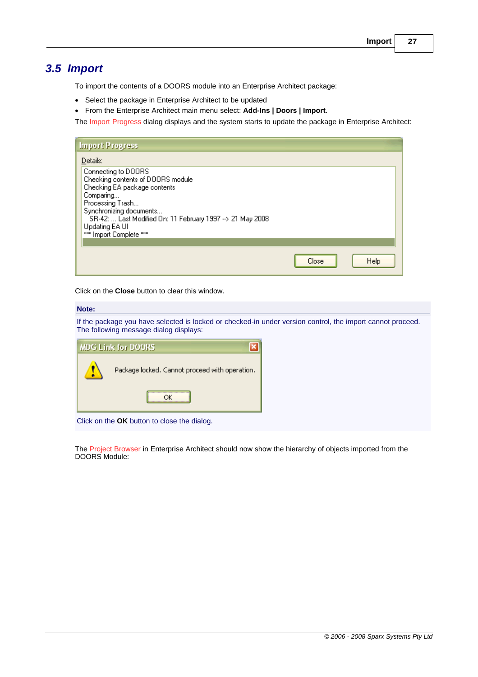### <span id="page-30-0"></span>*3.5 Import*

To import the contents of a DOORS module into an Enterprise Architect package:

- · Select the package in Enterprise Architect to be updated
- · From the Enterprise Architect main menu select: **Add-Ins | Doors | Import**.

The Import Progress dialog displays and the system starts to update the package in Enterprise Architect:

| Close | Help |
|-------|------|
|       |      |

Click on the **Close** button to clear this window.

#### **Note:**

If the package you have selected is locked or checked-in under version control, the import cannot proceed. The following message dialog displays:

| <b>MDG Link for DOORS</b> |                                                |  |
|---------------------------|------------------------------------------------|--|
|                           | Package locked. Cannot proceed with operation. |  |
|                           |                                                |  |

Click on the **OK** button to close the dialog.

The Project Browser in Enterprise Architect should now show the hierarchy of objects imported from the DOORS Module: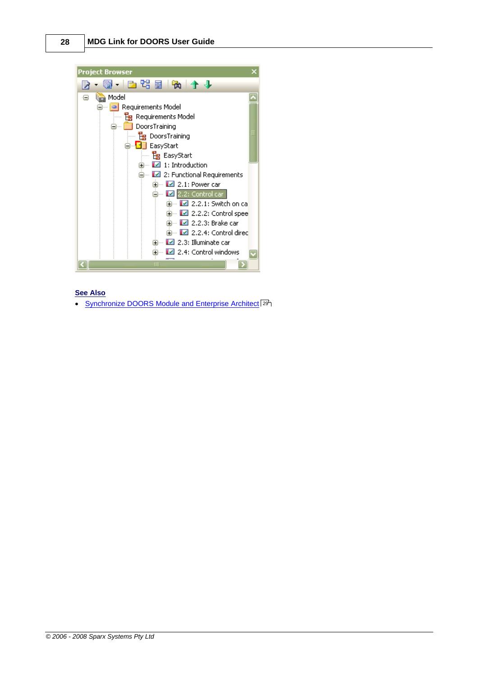

#### **See Also**

• [Synchronize DOORS Module and Enterprise Architect](#page-32-0) 29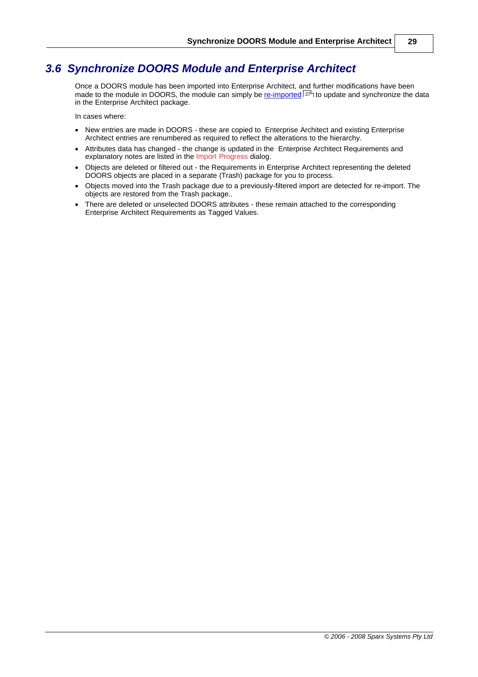### <span id="page-32-0"></span>*3.6 Synchronize DOORS Module and Enterprise Architect*

Once a DOORS module has been imported into Enterprise Architect, and further modifications have been made to the module in DOORS, the module can simply be <u>[re-imported](#page-30-0)</u> | 27<sup>5</sup>) to update and synchronize the data in the Enterprise Architect package.

In cases where:

- · New entries are made in DOORS these are copied to Enterprise Architect and existing Enterprise Architect entries are renumbered as required to reflect the alterations to the hierarchy.
- · Attributes data has changed the change is updated in the Enterprise Architect Requirements and explanatory notes are listed in the Import Progress dialog.
- · Objects are deleted or filtered out the Requirements in Enterprise Architect representing the deleted DOORS objects are placed in a separate (Trash) package for you to process.
- · Objects moved into the Trash package due to a previously-filtered import are detected for re-import. The objects are restored from the Trash package..
- There are deleted or unselected DOORS attributes these remain attached to the corresponding Enterprise Architect Requirements as Tagged Values.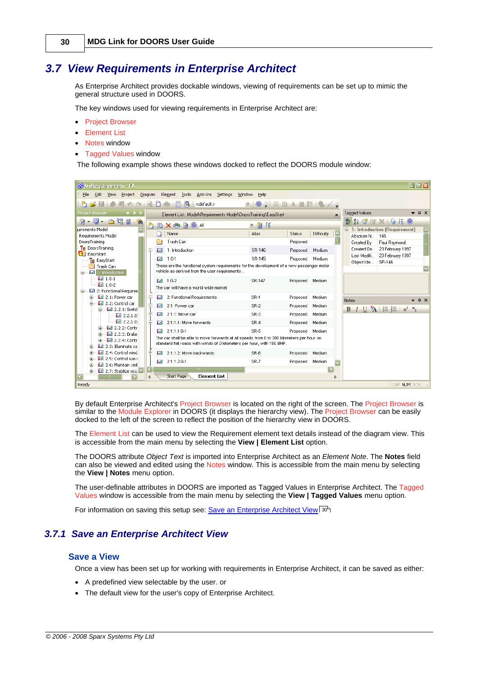### <span id="page-33-0"></span>*3.7 View Requirements in Enterprise Architect*

As Enterprise Architect provides dockable windows, viewing of requirements can be set up to mimic the general structure used in DOORS.

The key windows used for viewing requirements in Enterprise Architect are:

- · Project Browser
- · Element List
- · Notes window
- · Tagged Values window

The following example shows these windows docked to reflect the DOORS module window:

| <b>S</b> MyRequirements - EA                                                                                                               |         |                                                                                                |                |                                                  | 日回因                                                      |
|--------------------------------------------------------------------------------------------------------------------------------------------|---------|------------------------------------------------------------------------------------------------|----------------|--------------------------------------------------|----------------------------------------------------------|
| File<br>Edit<br><b>View</b><br>Project                                                                                                     | Diagram | Element Tools Add-Ins Settings                                                                 | Window<br>Help |                                                  |                                                          |
|                                                                                                                                            |         | Q<br><default><br/>H</default>                                                                 |                | II O , I BAREI O / ,                             |                                                          |
| $\overline{v}$ # $\overline{x}$<br><b>Project Browser</b>                                                                                  |         | Element List:: Model\Requirements Model\DoorsTraining\EasyStart                                |                | $\mathbf{x}$                                     | <b>Tagged Values</b><br>$\bullet$ $\uparrow$ $\times$    |
| $B \cdot C \cdot D$ to the $B$<br>働                                                                                                        | ክ       | <b>BX O &amp; O AL</b>                                                                         | ・留談            |                                                  | HAI ♡ EY X I V EX ©                                      |
| luirements Model<br>Requirements Model                                                                                                     |         | Name                                                                                           | Alias          | $\overline{\phantom{a}}$<br>Difficulty<br>Status | $\Box$ 1: Introduction (Requirement)<br>Absolute N., 146 |
| DoorsTraining                                                                                                                              |         | Trash Can                                                                                      |                | Proposed                                         | Paul Raymond<br>Created By                               |
| <b>Pg</b> DoorsTraining                                                                                                                    | ⊟       | 1: Introduction<br>И                                                                           | SR-146         | Medium<br>Proposed                               | Created On<br>23 February 1997                           |
| <b>d</b> EasyStart                                                                                                                         |         | $1.0 - 1$                                                                                      | SR-145         |                                                  | 23 February 1997<br>Last Modifi                          |
| <b>Le</b> EasyStart                                                                                                                        |         | ы<br>These are the functional system requirements for the development of a new passenger motor |                | Medium<br>Proposed                               | Object Ide<br>SR-146                                     |
| Trash Can<br>1: Introduction<br>≘                                                                                                          |         | vehicle as derived from the user requirements.                                                 |                |                                                  |                                                          |
| $-1.0-1$                                                                                                                                   |         | $1 - 1.0 - 2$                                                                                  | SR-147         | Proposed<br>Medium                               |                                                          |
| $-1.0-2$                                                                                                                                   |         | The car will have a world wide market                                                          |                |                                                  |                                                          |
| 2: Functional Requiren                                                                                                                     |         |                                                                                                |                |                                                  |                                                          |
| $\boxed{2.1}$ : Power car<br>宙<br>Ė.<br>2.2: Control car                                                                                   |         | 2: Functional Requirements<br>ø                                                                | SR-1           | Proposed<br>Medium                               | $\bullet$ <b>4</b> $\times$<br>Notes                     |
| 白… ■ 2.2.1: Switch                                                                                                                         |         | 2.1: Power car<br>M                                                                            | $SR-2$         | Medium<br>Proposed                               | I U A $\equiv \equiv x^2$ $x_2$<br>B                     |
| 2.2.1.0                                                                                                                                    |         | 2.1.1: Move car<br>M                                                                           | $SR-3$         | Medium<br>Proposed                               |                                                          |
| 2.2.1.0                                                                                                                                    |         | 2.1.1.1: Move forwards<br>ø                                                                    | $SR-4$         | Medium<br>Proposed                               |                                                          |
| $\boxtimes$ 2.2.2: Contr<br>Ė                                                                                                              |         | 2.1.1.1.0-1<br><b>IVI</b>                                                                      | SR-5           | Medium<br>Proposed                               |                                                          |
| ■ 2.2.3: Brake<br>Ėŀ.<br>The car shall be able to move forwards at all speeds from 0 to 200 kilometers per hour on<br>$2.2.4$ : Contr<br>Ĥ |         |                                                                                                |                |                                                  |                                                          |
| $\Box$ 2.3: Illuminate ca                                                                                                                  |         | standard flat roads with winds of 0 kilometers per hour, with 180 BHP.                         |                |                                                  |                                                          |
| 2.4: Control wind                                                                                                                          |         | 2.1.1.2: Move backwards<br>M                                                                   | $SR-6$         | Medium<br>Proposed                               |                                                          |
| 2.5: Control sun r<br>圧                                                                                                                    |         | M<br>2.1.1.2.0-1                                                                               | SR-7           | Medium<br>Proposed<br>$\overline{\mathbf{v}}$    |                                                          |
| 2.6: Maintain visit<br>Ĥ<br>2.7: Stabilize occu<br>庙                                                                                       |         |                                                                                                |                | $\boxed{\mathbf{z}}$                             |                                                          |
| ⋝                                                                                                                                          |         | Start Page<br><b>Element List</b>                                                              |                | Þ                                                |                                                          |
| Ready                                                                                                                                      |         |                                                                                                |                |                                                  | CAP NUM SCRL                                             |

By default Enterprise Architect's Project Browser is located on the right of the screen. The Project Browser is similar to the Module Explorer in DOORS (it displays the hierarchy view). The Project Browser can be easily docked to the left of the screen to reflect the position of the hierarchy view in DOORS.

The Element List can be used to view the Requirement element text details instead of the diagram view. This is accessible from the main menu by selecting the **View | Element List** option.

The DOORS attribute *Object Text* is imported into Enterprise Architect as an *Element Note*. The **Notes** field can also be viewed and edited using the Notes window. This is accessible from the main menu by selecting the **View | Notes** menu option.

The user-definable attributes in DOORS are imported as Tagged Values in Enterprise Architect. The Tagged Values window is accessible from the main menu by selecting the **View | Tagged Values** menu option.

For information on saving this setup see: <u>Save an Enterprise Architect View</u>| ঞ্চী

#### <span id="page-33-1"></span>*3.7.1 Save an Enterprise Architect View*

#### **Save a View**

Once a view has been set up for working with requirements in Enterprise Architect, it can be saved as either:

- · A predefined view selectable by the user. or
- · The default view for the user's copy of Enterprise Architect.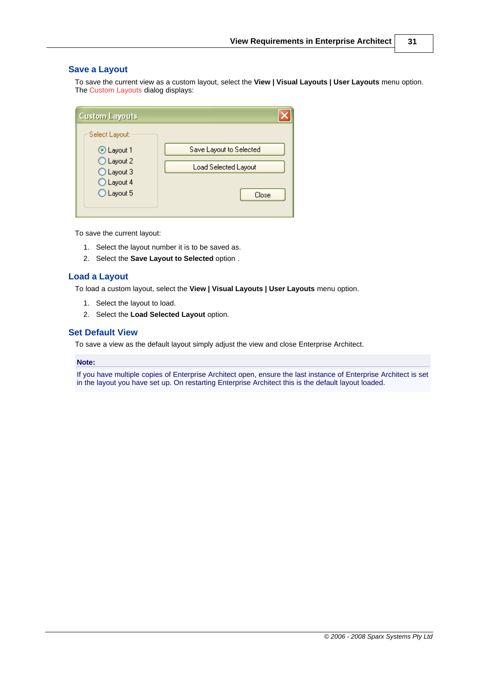#### **Save a Layout**

To save the current view as a custom layout, select the **View | Visual Layouts | User Layouts** menu option. The Custom Layouts dialog displays:

| <b>Custom Layouts</b>                                                                |                                                                 |
|--------------------------------------------------------------------------------------|-----------------------------------------------------------------|
| Select Layout:<br>⊙ Layout 1<br>O Layout 2<br>O Layout 3<br>O Layout 4<br>O Layout 5 | Save Layout to Selected<br><b>Load Selected Layout</b><br>Close |

To save the current layout:

- 1. Select the layout number it is to be saved as.
- 2. Select the **Save Layout to Selected** option .

#### **Load a Layout**

To load a custom layout, select the **View | Visual Layouts | User Layouts** menu option.

- 1. Select the layout to load.
- 2. Select the **Load Selected Layout** option.

#### **Set Default View**

To save a view as the default layout simply adjust the view and close Enterprise Architect.

#### **Note:**

If you have multiple copies of Enterprise Architect open, ensure the last instance of Enterprise Architect is set in the layout you have set up. On restarting Enterprise Architect this is the default layout loaded.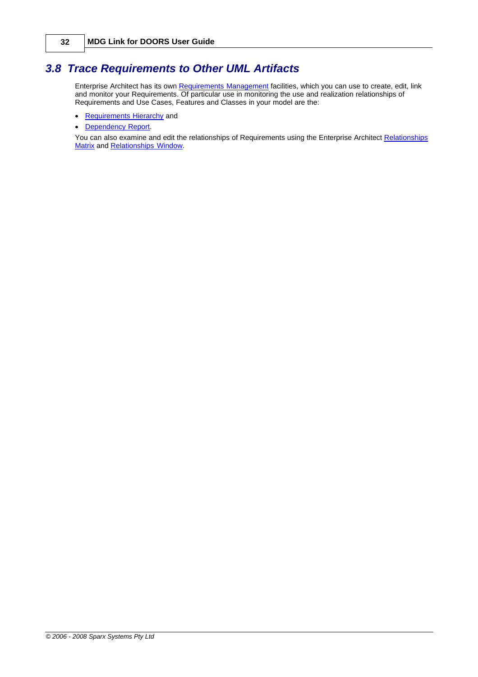### <span id="page-35-0"></span>*3.8 Trace Requirements to Other UML Artifacts*

Enterprise Architect has its own <u>[Requirements Management](http://www.sparxsystems.com.au/EAUserGuide/requirementsmanagement2.htm)</u> facilities, which you can use to create, edit, link and monitor your Requirements. Of particular use in monitoring the use and realization relationships of Requirements and Use Cases, Features and Classes in your model are the:

- [Requirements Hierarchy](http://www.sparxsystems.com.au/EAUserGuide/requirementshierarchy.htm) and
- · [Dependency Report](http://www.sparxsystems.com.au/EAUserGuide/dependencyreport.htm).

You can also examine and edit the relationships of Requirements using the Enterprise Architect [Relationships](http://www.sparxsystems.com.au/EAUserGuide/elementrelationshipmatrix.htm) [Matrix](http://www.sparxsystems.com.au/EAUserGuide/elementrelationshipmatrix.htm) and [Relationships Window](http://www.sparxsystems.com.au/EAUserGuide/linktab.htm).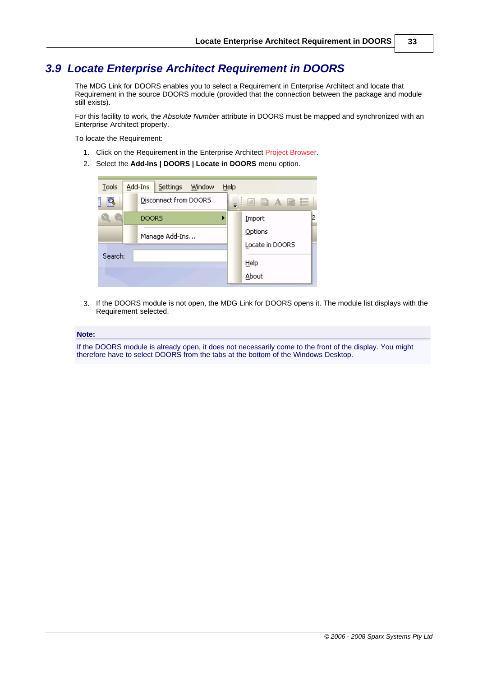### <span id="page-36-0"></span>*3.9 Locate Enterprise Architect Requirement in DOORS*

The MDG Link for DOORS enables you to select a Requirement in Enterprise Architect and locate that Requirement in the source DOORS module (provided that the connection between the package and module still exists).

For this facility to work, the *Absolute Number* attribute in DOORS must be mapped and synchronized with an Enterprise Architect property.

To locate the Requirement:

- 1. Click on the Requirement in the Enterprise Architect Project Browser.
- 2. Select the **Add-Ins | DOORS | Locate in DOORS** menu option.

| Tools   | Add-Ins<br>Settings Window | Help |                 |
|---------|----------------------------|------|-----------------|
| 1<br>R  | Disconnect from DOORS      |      | _ : 2 B A B E   |
|         | <b>DOORS</b>               |      | Import          |
|         | Manage Add-Ins             |      | Options         |
|         |                            |      | Locate in DOORS |
| Search: |                            |      | Help            |
|         |                            |      | About           |

3. If the DOORS module is not open, the MDG Link for DOORS opens it. The module list displays with the Requirement selected.

#### **Note:**

If the DOORS module is already open, it does not necessarily come to the front of the display. You might therefore have to select DOORS from the tabs at the bottom of the Windows Desktop.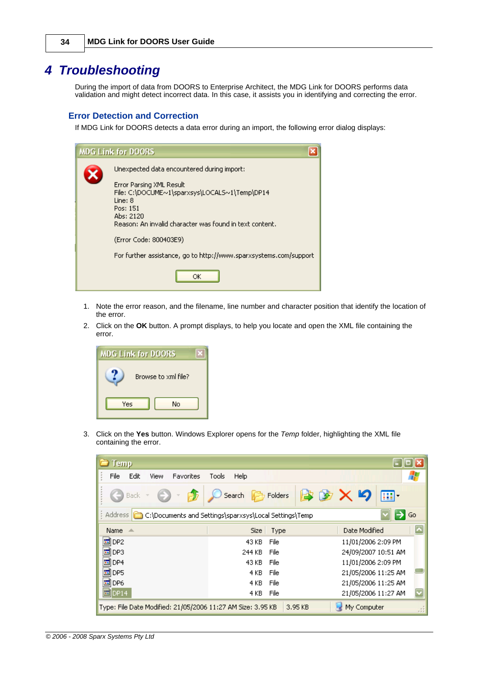## <span id="page-37-0"></span>*4 Troubleshooting*

During the import of data from DOORS to Enterprise Architect, the MDG Link for DOORS performs data validation and might detect incorrect data. In this case, it assists you in identifying and correcting the error.

#### **Error Detection and Correction**

If MDG Link for DOORS detects a data error during an import, the following error dialog displays:

| <b>MDG Link for DOORS</b>                                                                                                                                                                                                                                                                                                   |
|-----------------------------------------------------------------------------------------------------------------------------------------------------------------------------------------------------------------------------------------------------------------------------------------------------------------------------|
| Unexpected data encountered during import:<br>Error Parsing XML Result<br>File: C:\DOCUME~1\sparxsys\LOCALS~1\Temp\DP14<br>Line: 8<br>Pos: 151<br>Ahs: 2120<br>Reason: An invalid character was found in text content.<br>(Error Code: 800403E9)<br>For further assistance, go to http://www.sparxsystems.com/support<br>ОΚ |

- 1. Note the error reason, and the filename, line number and character position that identify the location of the error.
- 2. Click on the **OK** button. A prompt displays, to help you locate and open the XML file containing the error.



3. Click on the **Yes** button. Windows Explorer opens for the *Temp* folder, highlighting the XML file containing the error.

| $\equiv$ Temp                                               |                                                                   |                     |  |  |  |  |  |
|-------------------------------------------------------------|-------------------------------------------------------------------|---------------------|--|--|--|--|--|
| File<br>Edit<br><b>Favorites</b><br>View                    | Tools<br>Help                                                     |                     |  |  |  |  |  |
| Back -                                                      | Search <b>P</b> Folders                                           | ゆめ×り<br>丽·          |  |  |  |  |  |
| Address In the                                              | Ð<br>Go<br>C:\Documents and Settings\sparxsys\Local Settings\Temp |                     |  |  |  |  |  |
| Name<br>一些                                                  | Size   Type                                                       | Date Modified       |  |  |  |  |  |
| ÎDP2<br>is.                                                 | File<br>43 KB                                                     | 11/01/2006 2:09 PM  |  |  |  |  |  |
| 圖DP3                                                        | 244 KB<br>File                                                    | 24/09/2007 10:51 AM |  |  |  |  |  |
| is.<br>lDP4                                                 | 43 KB<br>File                                                     | 11/01/2006 2:09 PM  |  |  |  |  |  |
| DP5<br>in.                                                  | File<br>4 KB.                                                     | 21/05/2006 11:25 AM |  |  |  |  |  |
| 圖DP6                                                        | 4 KB<br>File                                                      | 21/05/2006 11:25 AM |  |  |  |  |  |
| <b>MDP14</b>                                                | File<br>4 KB.                                                     | 21/05/2006 11:27 AM |  |  |  |  |  |
| Type: File Date Modified: 21/05/2006 11:27 AM Size: 3.95 KB | 3.95 KB                                                           | My Computer<br>-11  |  |  |  |  |  |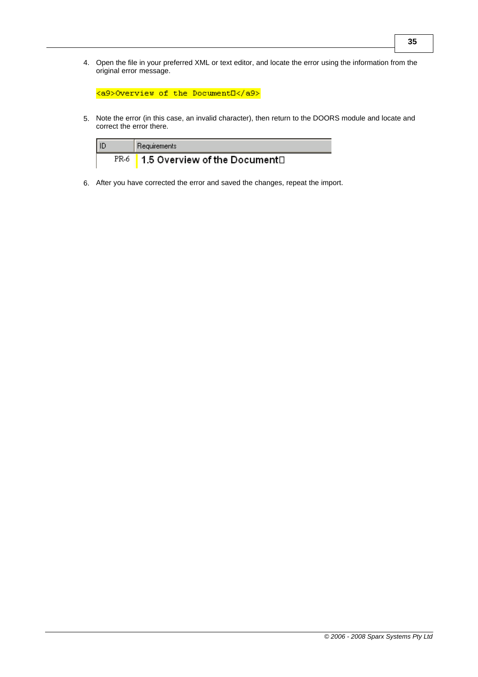4. Open the file in your preferred XML or text editor, and locate the error using the information from the original error message.

|  |  |  | <a9>Overview of the DocumentO</a9> |  |
|--|--|--|------------------------------------|--|
|--|--|--|------------------------------------|--|

5. Note the error (in this case, an invalid character), then return to the DOORS module and locate and correct the error there.

| l ID | Requirements                                    |  |
|------|-------------------------------------------------|--|
|      | $PR-6$   1.5 Overview of the Document $\square$ |  |

6. After you have corrected the error and saved the changes, repeat the import.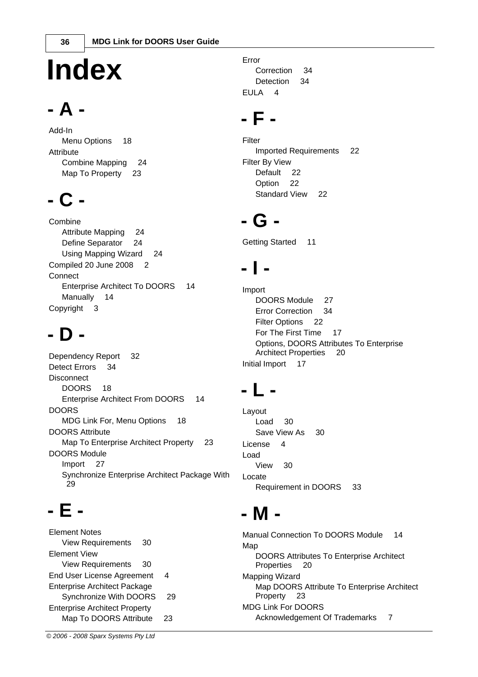# **Index**

## **- A -**

Add-In Menu Options 18 **Attribute** Combine Mapping 24 Map To Property 23

## **- C -**

Combine Attribute Mapping 24 Define Separator 24 Using Mapping Wizard 24 Compiled 20 June 2008 2 **Connect** Enterprise Architect To DOORS 14 Manually 14 Copyright 3

## **- D -**

Dependency Report 32 Detect Errors 34 **Disconnect** DOORS 18 Enterprise Architect From DOORS 14 DOORS MDG Link For, Menu Options 18 DOORS Attribute Map To Enterprise Architect Property 23 DOORS Module Import 27 Synchronize Enterprise Architect Package With  $29$ 

## **- E -**

Element Notes View Requirements 30 Element View View Requirements 30 End User License Agreement 4 Enterprise Architect Package Synchronize With DOORS 29 Enterprise Architect Property Map To DOORS Attribute 23

Error Correction 34 Detection 34 EULA 4

## **- F -**

Filter Imported Requirements 22 Filter By View Default 22 Option 22 Standard View 22

## **- G -**

Getting Started 11

## **- I -**

Import DOORS Module 27 Error Correction 34 Filter Options 22 For The First Time 17 Options, DOORS Attributes To Enterprise Architect Properties 20 Initial Import 17

## **- L -**

Layout Load 30 Save View As 30 License 4 Load View 30 Locate Requirement in DOORS 33

## **- M -**

Manual Connection To DOORS Module 14 Map DOORS Attributes To Enterprise Architect Properties 20 Mapping Wizard Map DOORS Attribute To Enterprise Architect Property 23 MDG Link For DOORS Acknowledgement Of Trademarks 7

*© 2006 - 2008 Sparx Systems Pty Ltd*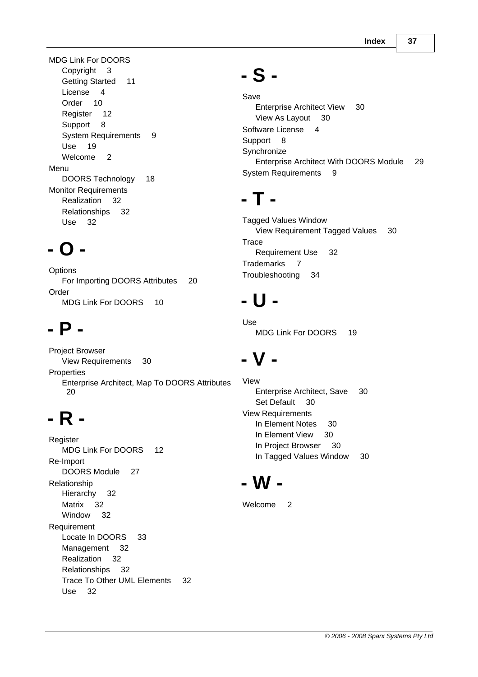MDG Link For DOORS Copyright 3 Getting Started 11 License 4 Order 10 Register 12 Support 8 System Requirements 9 Use 19 Welcome 2 Menu DOORS Technology 18 Monitor Requirements Realization 32 Relationships 32 Use 32

## **- O -**

**Options** For Importing DOORS Attributes 20 Order MDG Link For DOORS 10

## **- P -**

Project Browser View Requirements 30 **Properties** Enterprise Architect, Map To DOORS Attributes 20

## **- R -**

**Register** MDG Link For DOORS 12 Re-Import DOORS Module 27 Relationship Hierarchy 32 Matrix 32 Window 32 Requirement Locate In DOORS 33 Management 32 Realization 32 Relationships 32 Trace To Other UML Elements 32 Use 32

## **- S -**

Save Enterprise Architect View 30 View As Layout 30 Software License 4 Support 8 **Synchronize** Enterprise Architect With DOORS Module 29 System Requirements 9

## **- T -**

Tagged Values Window View Requirement Tagged Values 30 **Trace** Requirement Use 32 Trademarks 7 Troubleshooting 34

## **- U -**

Use MDG Link For DOORS 19

## **- V -**

View Enterprise Architect, Save 30 Set Default 30 View Requirements In Element Notes 30 In Element View 30 In Project Browser 30 In Tagged Values Window 30

## **- W -**

Welcome 2